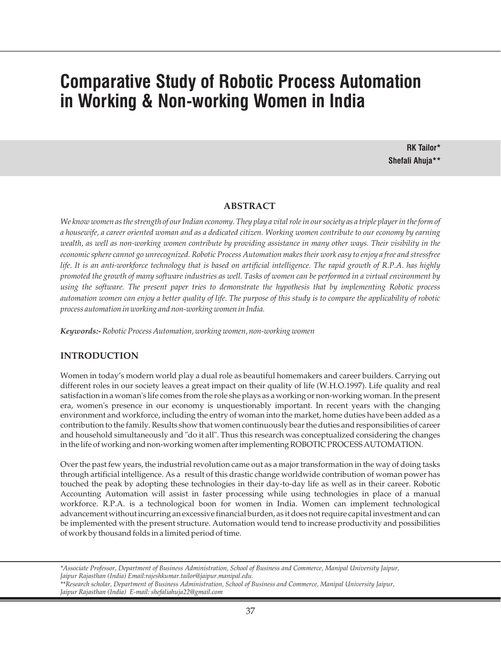# **Comparative Study of Robotic Process Automation in Working & Non-working Women in India**

**RK Tailor\* Shefali Ahuja\*\***

## **ABSTRACT**

*We know women as the strength of our Indian economy. They play a vital role in our society as a triple player in the form of a housewife, a career oriented woman and as a dedicated citizen. Working women contribute to our economy by earning wealth, as well as non-working women contribute by providing assistance in many other ways. Their visibility in the economic sphere cannot go unrecognized. Robotic Process Automation makes their work easy to enjoy a free and stressfree life. It is an anti-workforce technology that is based on artificial intelligence. The rapid growth of R.P.A. has highly promoted the growth of many software industries as well. Tasks of women can be performed in a virtual environment by using the software. The present paper tries to demonstrate the hypothesis that by implementing Robotic process automation women can enjoy a better quality of life. The purpose of this study is to compare the applicability of robotic process automation in working and non-working women in India.*

*Keywords:-Robotic Process Automation, working women, non-working women*

## **INTRODUCTION**

Women in today's modern world play a dual role as beautiful homemakers and career builders. Carrying out different roles in our society leaves a great impact on their quality of life (W.H.O.1997). Life quality and real satisfaction in a woman's life comes from the role she plays as a working or non-working woman. In the present era, women's presence in our economy is unquestionably important. In recent years with the changing environment and workforce, including the entry of woman into the market, home duties have been added as a contribution to the family. Results show that women continuously bear the duties and responsibilities of career and household simultaneously and "do it all". Thus this research was conceptualized considering the changes in the life of working and non-working women after implementing ROBOTIC PROCESS AUTOMATION.

Over the past few years, the industrial revolution came out as a major transformation in the way of doing tasks through artificial intelligence. As a result of this drastic change worldwide contribution of woman power has touched the peak by adopting these technologies in their day-to-day life as well as in their career. Robotic Accounting Automation will assist in faster processing while using technologies in place of a manual workforce. R.P.A. is a technological boon for women in India. Women can implement technological advancement without incurring an excessive financial burden, as it does not require capital investment and can be implemented with the present structure. Automation would tend to increase productivity and possibilities of work by thousand folds in a limited period of time.

*\*Associate Professor, Department of Business Administration, School of Business and Commerce, Manipal University Jaipur, Jaipur Rajasthan (India) Email:rajeshkumar.tailor@jaipur.manipal.edu.*

*\*\*Research scholar, Department of Business Administration, School of Business and Commerce, Manipal University Jaipur, Jaipur Rajasthan (India) E-mail: shefaliahuja22@gmail.com*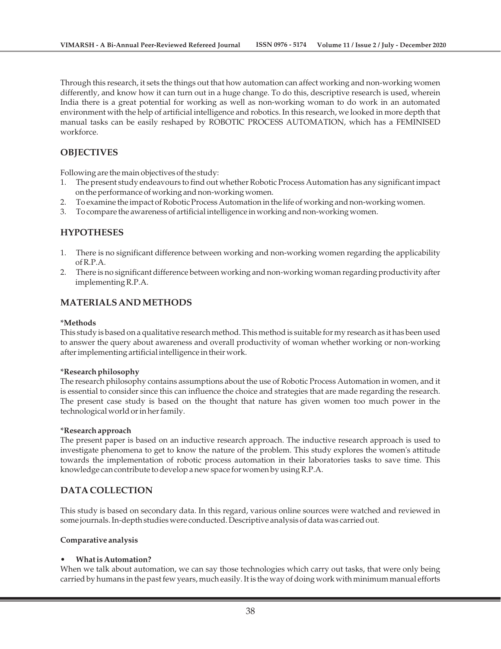Through this research, it sets the things out that how automation can affect working and non-working women differently, and know how it can turn out in a huge change. To do this, descriptive research is used, wherein India there is a great potential for working as well as non-working woman to do work in an automated environment with the help of artificial intelligence and robotics. In this research, we looked in more depth that manual tasks can be easily reshaped by ROBOTIC PROCESS AUTOMATION, which has a FEMINISED workforce.

## **OBJECTIVES**

Following are the main objectives of the study:

- 1. The present study endeavours to find out whether Robotic Process Automation has any significant impact on the performance of working and non-working women.
- 2. To examine the impact of Robotic Process Automation in the life of working and non-working women.
- 3. To compare the awareness of artificial intelligence in working and non-working women.

## **HYPOTHESES**

- 1. There is no significant difference between working and non-working women regarding the applicability  $of R. P. A.$
- 2. There is no significant difference between working and non-working woman regarding productivity after implementing R.P.A.

# **MATERIALS AND METHODS**

## **\*Methods**

This study is based on a qualitative research method. This method is suitable for my research as it has been used to answer the query about awareness and overall productivity of woman whether working or non-working after implementing artificial intelligence in their work.

## **\*Research philosophy**

The research philosophy contains assumptions about the use of Robotic Process Automation in women, and it is essential to consider since this can influence the choice and strategies that are made regarding the research. The present case study is based on the thought that nature has given women too much power in the technological world or in her family.

## **\*Research approach**

The present paper is based on an inductive research approach. The inductive research approach is used to investigate phenomena to get to know the nature of the problem. This study explores the women's attitude towards the implementation of robotic process automation in their laboratories tasks to save time. This knowledge can contribute to develop a new space for women by using R.P.A.

## **DATA COLLECTION**

This study is based on secondary data. In this regard, various online sources were watched and reviewed in some journals. In-depth studies were conducted. Descriptive analysis of data was carried out.

## **Comparative analysis**

## **• What is Automation?**

When we talk about automation, we can say those technologies which carry out tasks, that were only being carried by humans in the past few years, much easily. It is the way of doing work with minimum manual efforts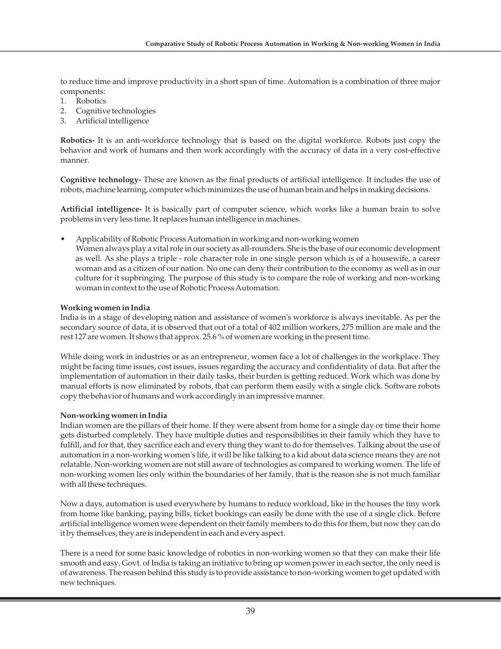to reduce time and improve productivity in a short span of time. Automation is a combination of three major components:

- 1. Robotics
- 2. Cognitive technologies
- 3. Artificial intelligence

**Robotics-** It is an anti-workforce technology that is based on the digital workforce. Robots just copy the behavior and work of humans and then work accordingly with the accuracy of data in a very cost-effective manner.

**Cognitive technology-** These are known as the final products of artificial intelligence. It includes the use of robots, machine learning, computer which minimizes the use of human brain and helps in making decisions.

**Artificial intelligence-** It is basically part of computer science, which works like a human brain to solve problems in very less time. It replaces human intelligence in machines.

- Applicability of Robotic Process Automation in working and non-working women
- Women always play a vital role in our society as all-rounders. She is the base of our economic development as well. As she plays a triple - role character role in one single person which is of a housewife, a career woman and as a citizen of our nation. No one can deny their contribution to the economy as well as in our culture for it supbringing. The purpose of this study is to compare the role of working and non-working woman in context to the use of Robotic Process Automation.

## **Working women in India**

India is in a stage of developing nation and assistance of women's workforce is always inevitable. As per the secondary source of data, it is observed that out of a total of 402 million workers, 275 million are male and the rest 127 are women. It shows that approx. 25.6 % of women are working in the present time.

While doing work in industries or as an entrepreneur, women face a lot of challenges in the workplace. They might be facing time issues, cost issues, issues regarding the accuracy and confidentiality of data. But after the implementation of automation in their daily tasks, their burden is getting reduced. Work which was done by manual efforts is now eliminated by robots, that can perform them easily with a single click. Software robots copy the behavior of humans and work accordingly in an impressive manner.

## **Non-working women in India**

Indian women are the pillars of their home. If they were absent from home for a single day or time their home gets disturbed completely. They have multiple duties and responsibilities in their family which they have to fulfill, and for that, they sacrifice each and every thing they want to do for themselves. Talking about the use of automation in a non-working women's life, it will be like talking to a kid about data science means they are not relatable. Non-working women are not still aware of technologies as compared to working women. The life of non-working women lies only within the boundaries of her family, that is the reason she is not much familiar with all these techniques.

Now a days, automation is used everywhere by humans to reduce workload, like in the houses the tiny work from home like banking, paying bills, ticket bookings can easily be done with the use of a single click. Before artificial intelligence women were dependent on their family members to do this for them, but now they can do it by themselves, they are is independent in each and every aspect.

There is a need for some basic knowledge of robotics in non-working women so that they can make their life smooth and easy. Govt. of India is taking an initiative to bring up women power in each sector, the only need is of awareness. The reason behind this study is to provide assistance to non-working women to get updated with new techniques.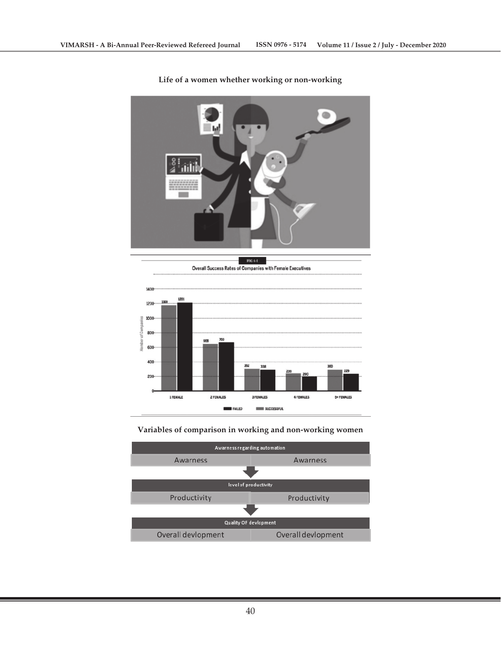

**Life of a women whether working or non-working**



## **Variables of comparison in working and non-working women**

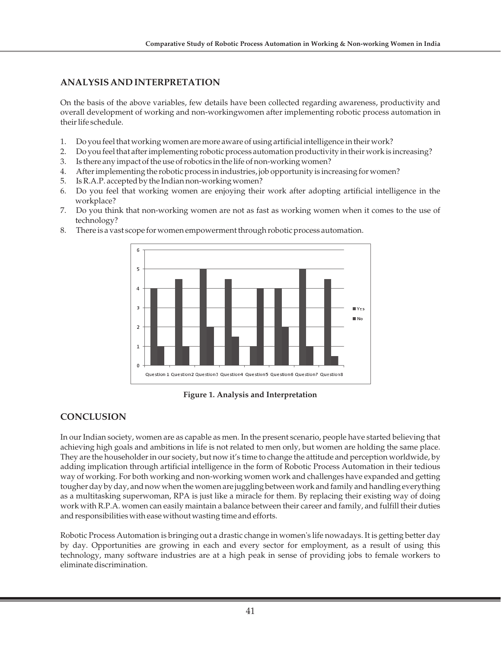# **ANALYSIS AND INTERPRETATION**

On the basis of the above variables, few details have been collected regarding awareness, productivity and overall development of working and non-workingwomen after implementing robotic process automation in their life schedule.

- 1. Do you feel that working women are more aware of using artificial intelligence in their work?
- 2. Do you feel that after implementing robotic process automation productivity in their work is increasing?
- 3. Is there any impact of the use of robotics in the life of non-working women?
- 4. After implementing the robotic process in industries, job opportunity is increasing for women?
- 5. Is R.A.P. accepted by the Indian non-working women?
- 6. Do you feel that working women are enjoying their work after adopting artificial intelligence in the workplace?
- 7. Do you think that non-working women are not as fast as working women when it comes to the use of technology?



8. There is a vast scope for women empowerment through robotic process automation.

**Figure 1. Analysis and Interpretation**

## **CONCLUSION**

In our Indian society, women are as capable as men. In the present scenario, people have started believing that achieving high goals and ambitions in life is not related to men only, but women are holding the same place. They are the householder in our society, but now it's time to change the attitude and perception worldwide, by adding implication through artificial intelligence in the form of Robotic Process Automation in their tedious way of working. For both working and non-working women work and challenges have expanded and getting tougher day by day, and now when the women are juggling between work and family and handling everything as a multitasking superwoman, RPA is just like a miracle for them. By replacing their existing way of doing work with R.P.A. women can easily maintain a balance between their career and family, and fulfill their duties and responsibilities with ease without wasting time and efforts.

Robotic Process Automation is bringing out a drastic change in women's life nowadays. It is getting better day by day. Opportunities are growing in each and every sector for employment, as a result of using this technology, many software industries are at a high peak in sense of providing jobs to female workers to eliminate discrimination.